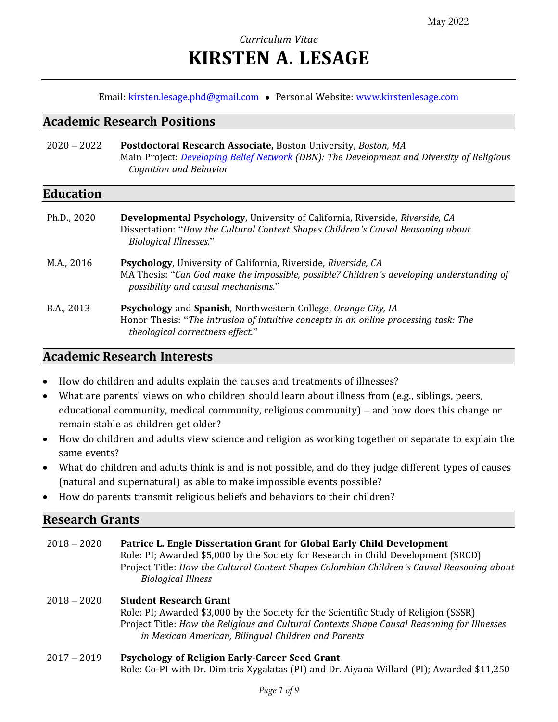Email: [kirsten.lesage.phd@gmail.com](mailto:kirsten.lesage.phd@gmail.com) • Personal Website: [www.kirstenlesage.com](file:///C:/Users/Kirsten/Dropbox/BU/Curriculum%20Vitae%20(Sept%202020%20+%20)/www.kirstenlesage.com)

### **Academic Research Positions**

| $2020 - 2022$ | <b>Postdoctoral Research Associate, Boston University, Boston, MA</b>                     |  |
|---------------|-------------------------------------------------------------------------------------------|--|
|               | Main Project: Developing Belief Network (DBN): The Development and Diversity of Religious |  |
|               | Cognition and Behavior                                                                    |  |

### **Education**

| Ph.D., 2020 | Developmental Psychology, University of California, Riverside, Riverside, CA<br>Dissertation: "How the Cultural Context Shapes Children's Causal Reasoning about<br><b>Biological Illnesses."</b>                       |
|-------------|-------------------------------------------------------------------------------------------------------------------------------------------------------------------------------------------------------------------------|
| M.A., 2016  | Psychology, University of California, Riverside, Riverside, CA<br>MA Thesis: "Can God make the impossible, possible? Children's developing understanding of<br>possibility and causal mechanisms."                      |
| B.A., 2013  | <b>Psychology</b> and <b>Spanish</b> , Northwestern College, <i>Orange City</i> , <i>IA</i><br>Honor Thesis: "The intrusion of intuitive concepts in an online processing task: The<br>theological correctness effect." |

### **Academic Research Interests**

- How do children and adults explain the causes and treatments of illnesses?
- What are parents' views on who children should learn about illness from (e.g., siblings, peers, educational community, medical community, religious community) – and how does this change or remain stable as children get older?
- How do children and adults view science and religion as working together or separate to explain the same events?
- What do children and adults think is and is not possible, and do they judge different types of causes (natural and supernatural) as able to make impossible events possible?
- How do parents transmit religious beliefs and behaviors to their children?

### **Research Grants**

2018 – 2020 **Patrice L. Engle Dissertation Grant for Global Early Child Development** Role: PI; Awarded \$5,000 by the Society for Research in Child Development (SRCD) Project Title: *How the Cultural Context Shapes Colombian Children's Causal Reasoning about Biological Illness*

### 2018 – 2020 **Student Research Grant** Role: PI; Awarded \$3,000 by the Society for the Scientific Study of Religion (SSSR) Project Title: *How the Religious and Cultural Contexts Shape Causal Reasoning for Illnesses in Mexican American, Bilingual Children and Parents*

2017 – 2019 **Psychology of Religion Early-Career Seed Grant** Role: Co-PI with Dr. Dimitris Xygalatas (PI) and Dr. Aiyana Willard (PI); Awarded \$11,250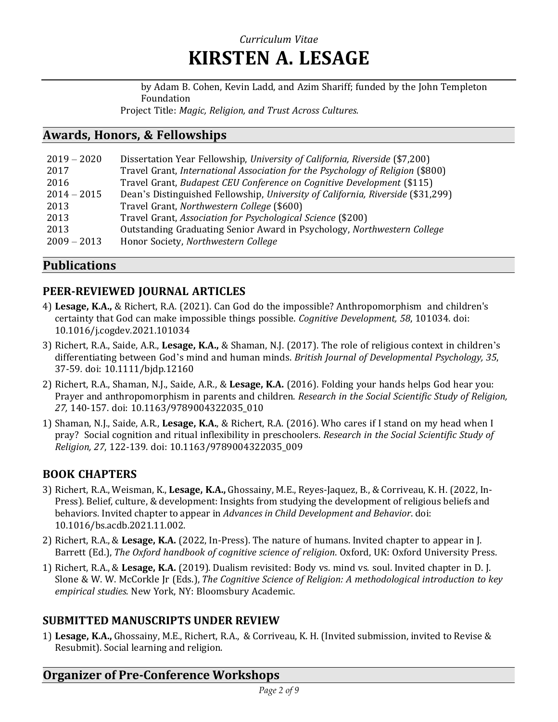by Adam B. Cohen, Kevin Ladd, and Azim Shariff; funded by the John Templeton Foundation

Project Title: *Magic, Religion, and Trust Across Cultures.*

## **Awards, Honors, & Fellowships**

| Travel Grant, International Association for the Psychology of Religion (\$800)  |
|---------------------------------------------------------------------------------|
|                                                                                 |
| Dean's Distinguished Fellowship, University of California, Riverside (\$31,299) |
|                                                                                 |
|                                                                                 |
|                                                                                 |
|                                                                                 |
| Outstanding Graduating Senior Award in Psychology, Northwestern College         |

## **Publications**

## **PEER-REVIEWED JOURNAL ARTICLES**

- 4) **Lesage, K.A.,** & Richert, R.A. (2021). Can God do the impossible? Anthropomorphism and children's certainty that God can make impossible things possible. *Cognitive Development, 58*, 101034. doi: 10.1016/j.cogdev.2021.101034
- 3) Richert, R.A., Saide, A.R., **Lesage, K.A.,** & Shaman, N.J. (2017). The role of religious context in children's differentiating between God's mind and human minds. *British Journal of Developmental Psychology, 35*, 37-59*.* doi: 10.1111/bjdp.12160
- 2) Richert, R.A., Shaman, N.J., Saide, A.R., & **Lesage, K.A.** (2016). Folding your hands helps God hear you: Prayer and anthropomorphism in parents and children. *Research in the Social Scientific Study of Religion, 27,* 140-157. doi: 10.1163/9789004322035\_010
- 1) Shaman, N.J., Saide, A.R., **Lesage, K.A.**, & Richert, R.A. (2016). Who cares if I stand on my head when I pray? Social cognition and ritual inflexibility in preschoolers. *Research in the Social Scientific Study of Religion, 27*, 122-139. doi: 10.1163/9789004322035\_009

## **BOOK CHAPTERS**

- 3) Richert, R.A., Weisman, K., **Lesage, K.A.,** Ghossainy, M.E., Reyes-Jaquez, B., & Corriveau, K. H. (2022, In-Press). Belief, culture, & development: Insights from studying the development of religious beliefs and behaviors. Invited chapter to appear in *Advances in Child Development and Behavior*. doi: 10.1016/bs.acdb.2021.11.002.
- 2) Richert, R.A., & **Lesage, K.A.** (2022, In-Press). The nature of humans. Invited chapter to appear in J. Barrett (Ed.), *The Oxford handbook of cognitive science of religion*. Oxford, UK: Oxford University Press.
- 1) Richert, R.A., & **Lesage, K.A.** (2019). Dualism revisited: Body vs. mind vs. soul. Invited chapter in D. J. Slone & W. W. McCorkle Jr (Eds.), *The Cognitive Science of Religion: A methodological introduction to key empirical studies*. New York, NY: Bloomsbury Academic.

### **SUBMITTED MANUSCRIPTS UNDER REVIEW**

1) **Lesage, K.A.,** Ghossainy, M.E., Richert, R.A., & Corriveau, K. H. (Invited submission, invited to Revise & Resubmit). Social learning and religion.

## **Organizer of Pre-Conference Workshops**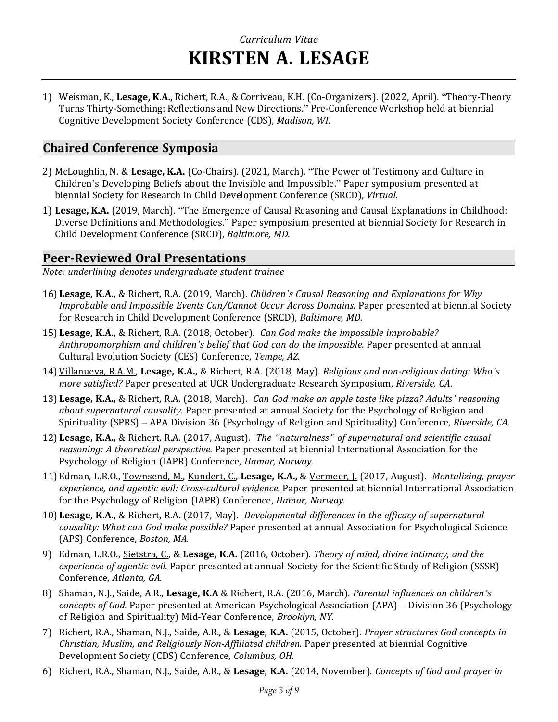1) Weisman, K., **Lesage, K.A.,** Richert, R.A., & Corriveau, K.H. (Co-Organizers). (2022, April). "Theory-Theory Turns Thirty-Something: Reflections and New Directions." Pre-Conference Workshop held at biennial Cognitive Development Society Conference (CDS), *Madison, WI.*

## **Chaired Conference Symposia**

- 2) McLoughlin, N. & **Lesage, K.A.** (Co-Chairs). (2021, March). "The Power of Testimony and Culture in Children's Developing Beliefs about the Invisible and Impossible." Paper symposium presented at biennial Society for Research in Child Development Conference (SRCD), *Virtual.*
- 1) **Lesage, K.A.** (2019, March). "The Emergence of Causal Reasoning and Causal Explanations in Childhood: Diverse Definitions and Methodologies." Paper symposium presented at biennial Society for Research in Child Development Conference (SRCD), *Baltimore, MD.*

## **Peer-Reviewed Oral Presentations**

*Note: underlining denotes undergraduate student trainee*

- 16) **Lesage, K.A.,** & Richert, R.A. (2019, March). *Children's Causal Reasoning and Explanations for Why Improbable and Impossible Events Can/Cannot Occur Across Domains.* Paper presented at biennial Society for Research in Child Development Conference (SRCD), *Baltimore, MD.*
- 15) **Lesage, K.A.,** & Richert, R.A. (2018, October). *Can God make the impossible improbable? Anthropomorphism and children's belief that God can do the impossible.* Paper presented at annual Cultural Evolution Society (CES) Conference, *Tempe, AZ.*
- 14)Villanueva, R.A.M., **Lesage, K.A.,** & Richert, R.A. (2018, May). *Religious and non-religious dating: Who's more satisfied?* Paper presented at UCR Undergraduate Research Symposium, *Riverside, CA*.
- 13) **Lesage, K.A.,** & Richert, R.A. (2018, March). *Can God make an apple taste like pizza? Adults' reasoning about supernatural causality.* Paper presented at annual Society for the Psychology of Religion and Spirituality (SPRS) – APA Division 36 (Psychology of Religion and Spirituality) Conference, *Riverside, CA.*
- 12) **Lesage, K.A.,** & Richert, R.A. (2017, August). *The "naturalness" of supernatural and scientific causal reasoning: A theoretical perspective.* Paper presented at biennial International Association for the Psychology of Religion (IAPR) Conference, *Hamar, Norway.*
- 11)Edman, L.R.O., Townsend, M., Kundert, C., **Lesage, K.A.,** & Vermeer, J. (2017, August). *Mentalizing, prayer experience, and agentic evil: Cross-cultural evidence.* Paper presented at biennial International Association for the Psychology of Religion (IAPR) Conference, *Hamar, Norway.*
- 10) **Lesage, K.A.,** & Richert, R.A. (2017, May). *Developmental differences in the efficacy of supernatural causality: What can God make possible?* Paper presented at annual Association for Psychological Science (APS) Conference, *Boston, MA.*
- 9) Edman, L.R.O., Sietstra, C., & **Lesage, K.A.** (2016, October). *Theory of mind, divine intimacy, and the experience of agentic evil.* Paper presented at annual Society for the Scientific Study of Religion (SSSR) Conference, *Atlanta, GA.*
- 8) Shaman, N.J., Saide, A.R., **Lesage, K.A** & Richert, R.A. (2016, March). *Parental influences on children's concepts of God.* Paper presented at American Psychological Association (APA) – Division 36 (Psychology of Religion and Spirituality) Mid-Year Conference, *Brooklyn, NY*.
- 7) Richert, R.A., Shaman, N.J., Saide, A.R., & **Lesage, K.A.** (2015, October). *Prayer structures God concepts in Christian, Muslim, and Religiously Non-Affiliated children.* Paper presented at biennial Cognitive Development Society (CDS) Conference, *Columbus, OH.*
- 6) Richert, R.A., Shaman, N.J., Saide, A.R., & **Lesage, K.A.** (2014, November). *Concepts of God and prayer in*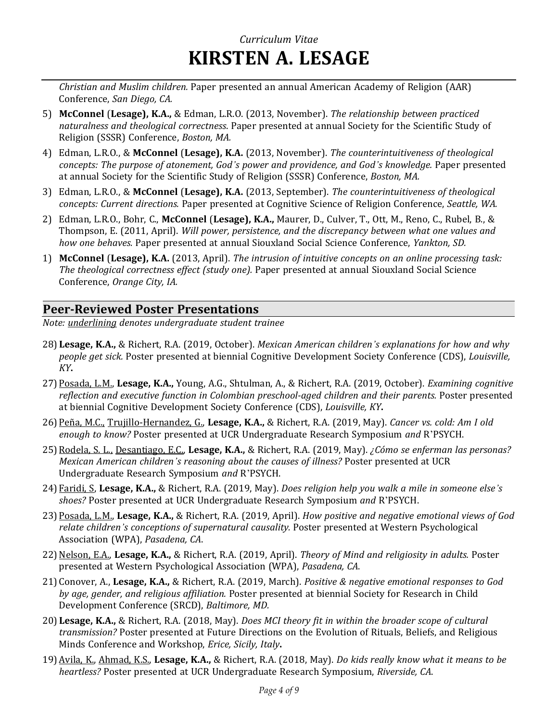*Christian and Muslim children.* Paper presented an annual American Academy of Religion (AAR) Conference, *San Diego, CA.*

- 5) **McConnel** (**Lesage), K.A.,** & Edman, L.R.O. (2013, November). *The relationship between practiced naturalness and theological correctness*. Paper presented at annual Society for the Scientific Study of Religion (SSSR) Conference, *Boston, MA.*
- 4) Edman, L.R.O., & **McConnel** (**Lesage), K.A.** (2013, November). *The counterintuitiveness of theological concepts: The purpose of atonement, God's power and providence, and God's knowledge.* Paper presented at annual Society for the Scientific Study of Religion (SSSR) Conference, *Boston, MA.*
- 3) Edman, L.R.O., & **McConnel** (**Lesage), K.A.** (2013, September). *The counterintuitiveness of theological concepts: Current directions.* Paper presented at Cognitive Science of Religion Conference, *Seattle, WA.*
- 2) Edman, L.R.O., Bohr, C., **McConnel** (**Lesage), K.A.,** Maurer, D., Culver, T., Ott, M., Reno, C., Rubel, B., & Thompson, E. (2011, April). *Will power, persistence, and the discrepancy between what one values and how one behaves.* Paper presented at annual Siouxland Social Science Conference, *Yankton, SD.*
- 1) **McConnel** (**Lesage), K.A.** (2013, April). *The intrusion of intuitive concepts on an online processing task: The theological correctness effect (study one).* Paper presented at annual Siouxland Social Science Conference, *Orange City, IA.*

## **Peer-Reviewed Poster Presentations**

*Note: underlining denotes undergraduate student trainee*

- 28) **Lesage, K.A.,** & Richert, R.A. (2019, October). *Mexican American children's explanations for how and why people get sick.* Poster presented at biennial Cognitive Development Society Conference (CDS), *Louisville, KY***.**
- 27)Posada, L.M., **Lesage, K.A.,** Young, A.G., Shtulman, A., & Richert, R.A. (2019, October). *Examining cognitive reflection and executive function in Colombian preschool-aged children and their parents.* Poster presented at biennial Cognitive Development Society Conference (CDS), *Louisville, KY***.**
- 26)Peña, M.C., Trujillo-Hernandez, G., **Lesage, K.A.,** & Richert, R.A. (2019, May). *Cancer vs. cold: Am I old enough to know?* Poster presented at UCR Undergraduate Research Symposium *and* R'PSYCH.
- 25)Rodela, S. L., Desantiago, E.C., **Lesage, K.A.,** & Richert, R.A. (2019, May). *¿Cómo se enferman las personas? Mexican American children's reasoning about the causes of illness?* Poster presented at UCR Undergraduate Research Symposium *and* R'PSYCH.
- 24) Faridi, S, **Lesage, K.A.,** & Richert, R.A. (2019, May). *Does religion help you walk a mile in someone else's shoes?* Poster presented at UCR Undergraduate Research Symposium *and* R'PSYCH.
- 23)Posada, L.M., **Lesage, K.A.,** & Richert, R.A. (2019, April). *How positive and negative emotional views of God relate children's conceptions of supernatural causality.* Poster presented at Western Psychological Association (WPA), *Pasadena, CA*.
- 22) Nelson, E.A., Lesage, K.A., & Richert, R.A. (2019, April). *Theory of Mind and religiosity in adults.* Poster presented at Western Psychological Association (WPA), *Pasadena, CA*.
- 21) Conover, A., **Lesage, K.A.,** & Richert, R.A. (2019, March). *Positive & negative emotional responses to God by age, gender, and religious affiliation.* Poster presented at biennial Society for Research in Child Development Conference (SRCD), *Baltimore, MD.*
- 20) **Lesage, K.A.,** & Richert, R.A. (2018, May). *Does MCI theory fit in within the broader scope of cultural transmission?* Poster presented at Future Directions on the Evolution of Rituals, Beliefs, and Religious Minds Conference and Workshop, *Erice, Sicily, Italy***.**
- 19)Avila, K., Ahmad, K.S., **Lesage, K.A.,** & Richert, R.A. (2018, May). *Do kids really know what it means to be heartless?* Poster presented at UCR Undergraduate Research Symposium, *Riverside, CA*.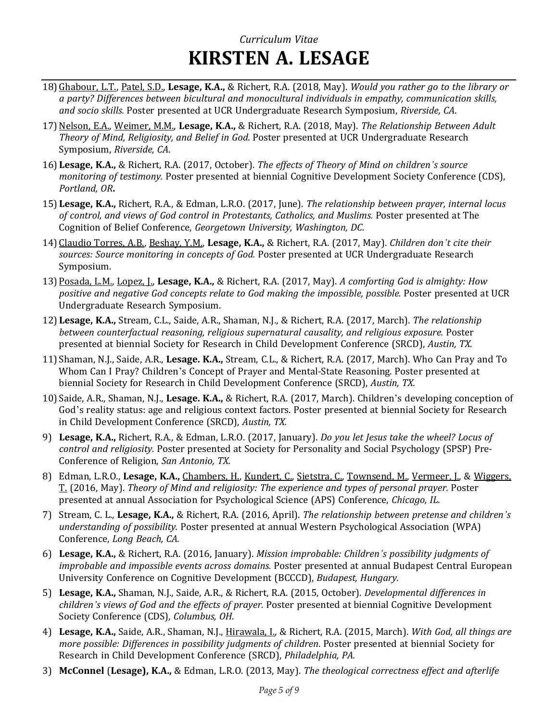- 18)Ghabour, L.T., Patel, S.D., **Lesage, K.A.,** & Richert, R.A. (2018, May). *Would you rather go to the library or a party? Differences between bicultural and monocultural individuals in empathy, communication skills, and socio skills.* Poster presented at UCR Undergraduate Research Symposium, *Riverside, CA*.
- 17)Nelson, E.A., Weimer, M.M., **Lesage, K.A.,** & Richert, R.A. (2018, May). *The Relationship Between Adult Theory of Mind, Religiosity, and Belief in God.* Poster presented at UCR Undergraduate Research Symposium, *Riverside, CA*.
- 16) **Lesage, K.A.,** & Richert, R.A. (2017, October). *The effects of Theory of Mind on children's source monitoring of testimony.* Poster presented at biennial Cognitive Development Society Conference (CDS), *Portland, OR***.**
- 15) **Lesage, K.A.,** Richert, R.A., & Edman, L.R.O. (2017, June). *The relationship between prayer, internal locus of control, and views of God control in Protestants, Catholics, and Muslims.* Poster presented at The Cognition of Belief Conference, *Georgetown University, Washington, DC.*
- 14) Claudio Torres, A.B., Beshay, Y.M., **Lesage, K.A.,** & Richert, R.A. (2017, May). *Children don't cite their sources: Source monitoring in concepts of God.* Poster presented at UCR Undergraduate Research Symposium.
- 13)Posada, L.M., Lopez, J., **Lesage, K.A.,** & Richert, R.A. (2017, May). *A comforting God is almighty: How positive and negative God concepts relate to God making the impossible, possible.* Poster presented at UCR Undergraduate Research Symposium.
- 12) **Lesage, K.A.,** Stream, C.L., Saide, A.R., Shaman, N.J., & Richert, R.A. (2017, March). *The relationship between counterfactual reasoning, religious supernatural causality, and religious exposure.* Poster presented at biennial Society for Research in Child Development Conference (SRCD), *Austin, TX.*
- 11) Shaman, N.J., Saide, A.R., **Lesage. K.A.,** Stream, C.L., & Richert, R.A. (2017, March). Who Can Pray and To Whom Can I Pray? Children's Concept of Prayer and Mental-State Reasoning. Poster presented at biennial Society for Research in Child Development Conference (SRCD), *Austin, TX.*
- 10) Saide, A.R., Shaman, N.J., **Lesage. K.A.,** & Richert, R.A. (2017, March). Children's developing conception of God's reality status: age and religious context factors. Poster presented at biennial Society for Research in Child Development Conference (SRCD), *Austin, TX.*
- 9) **Lesage, K.A.,** Richert, R.A., & Edman, L.R.O. (2017, January). *Do you let Jesus take the wheel? Locus of control and religiosity.* Poster presented at Society for Personality and Social Psychology (SPSP) Pre-Conference of Religion, *San Antonio, TX.*
- 8) Edman, L.R.O., **Lesage, K.A.,** Chambers, H., Kundert, C., Sietstra, C., Townsend, M., Vermeer, J., & Wiggers, T. (2016, May). *Theory of Mind and religiosity: The experience and types of personal prayer.* Poster presented at annual Association for Psychological Science (APS) Conference, *Chicago, IL.*
- 7) Stream, C. L., **Lesage, K.A.,** & Richert, R.A. (2016, April). *The relationship between pretense and children's understanding of possibility.* Poster presented at annual Western Psychological Association (WPA) Conference, *Long Beach, CA.*
- 6) **Lesage, K.A.,** & Richert, R.A. (2016, January). *Mission improbable: Children's possibility judgments of improbable and impossible events across domains.* Poster presented at annual Budapest Central European University Conference on Cognitive Development (BCCCD), *Budapest, Hungary.*
- 5) **Lesage, K.A.,** Shaman, N.J., Saide, A.R., & Richert, R.A. (2015, October). *Developmental differences in children's views of God and the effects of prayer.* Poster presented at biennial Cognitive Development Society Conference (CDS), *Columbus, OH*.
- 4) **Lesage, K.A.,** Saide, A.R., Shaman, N.J., Hirawala, I., & Richert, R.A. (2015, March). *With God, all things are more possible: Differences in possibility judgments of children*. Poster presented at biennial Society for Research in Child Development Conference (SRCD), *Philadelphia, PA.*
- 3) **McConnel** (**Lesage), K.A.,** & Edman, L.R.O. (2013, May). *The theological correctness effect and afterlife*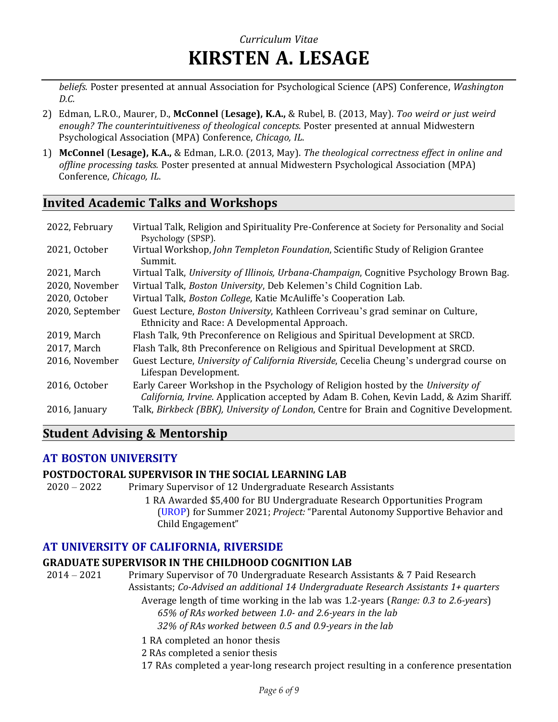*beliefs.* Poster presented at annual Association for Psychological Science (APS) Conference, *Washington D.C.*

- 2) Edman, L.R.O., Maurer, D., **McConnel** (**Lesage), K.A.,** & Rubel, B. (2013, May). *Too weird or just weird enough? The counterintuitiveness of theological concepts.* Poster presented at annual Midwestern Psychological Association (MPA) Conference, *Chicago, IL*.
- 1) **McConnel** (**Lesage), K.A.,** & Edman, L.R.O. (2013, May). *The theological correctness effect in online and offline processing tasks.* Poster presented at annual Midwestern Psychological Association (MPA) Conference, *Chicago, IL*.

## **Invited Academic Talks and Workshops**

| 2022, February  | Virtual Talk, Religion and Spirituality Pre-Conference at Society for Personality and Social<br>Psychology (SPSP).                                                        |
|-----------------|---------------------------------------------------------------------------------------------------------------------------------------------------------------------------|
| 2021, October   | Virtual Workshop, John Templeton Foundation, Scientific Study of Religion Grantee<br>Summit.                                                                              |
| 2021, March     | Virtual Talk, University of Illinois, Urbana-Champaign, Cognitive Psychology Brown Bag.                                                                                   |
| 2020, November  | Virtual Talk, Boston University, Deb Kelemen's Child Cognition Lab.                                                                                                       |
| 2020, October   | Virtual Talk, Boston College, Katie McAuliffe's Cooperation Lab.                                                                                                          |
| 2020, September | Guest Lecture, Boston University, Kathleen Corriveau's grad seminar on Culture,                                                                                           |
|                 | Ethnicity and Race: A Developmental Approach.                                                                                                                             |
| 2019, March     | Flash Talk, 9th Preconference on Religious and Spiritual Development at SRCD.                                                                                             |
| 2017, March     | Flash Talk, 8th Preconference on Religious and Spiritual Development at SRCD.                                                                                             |
| 2016, November  | Guest Lecture, University of California Riverside, Cecelia Cheung's undergrad course on<br>Lifespan Development.                                                          |
| 2016, October   | Early Career Workshop in the Psychology of Religion hosted by the University of<br>California, Irvine. Application accepted by Adam B. Cohen, Kevin Ladd, & Azim Shariff. |
| 2016, January   | Talk, Birkbeck (BBK), University of London, Centre for Brain and Cognitive Development.                                                                                   |

## **Student Advising & Mentorship**

### **AT BOSTON UNIVERSITY**

### **POSTDOCTORAL SUPERVISOR IN THE SOCIAL LEARNING LAB**

2020 – 2022 Primary Supervisor of 12 Undergraduate Research Assistants

1 RA Awarded \$5,400 for BU Undergraduate Research Opportunities Program [\(UROP\)](https://www.bu.edu/urop/about/) for Summer 2021; *Project:* "Parental Autonomy Supportive Behavior and Child Engagement"

### **AT UNIVERSITY OF CALIFORNIA, RIVERSIDE**

### **GRADUATE SUPERVISOR IN THE CHILDHOOD COGNITION LAB**

2014 – 2021 Primary Supervisor of 70 Undergraduate Research Assistants & 7 Paid Research Assistants; *Co-Advised an additional 14 Undergraduate Research Assistants 1+ quarters*

> Average length of time working in the lab was 1.2-years (*Range: 0.3 to 2.6-years*) *65% of RAs worked between 1.0- and 2.6-years in the lab*

*32% of RAs worked between 0.5 and 0.9-years in the lab*

- 1 RA completed an honor thesis
- 2 RAs completed a senior thesis
- 17 RAs completed a year-long research project resulting in a conference presentation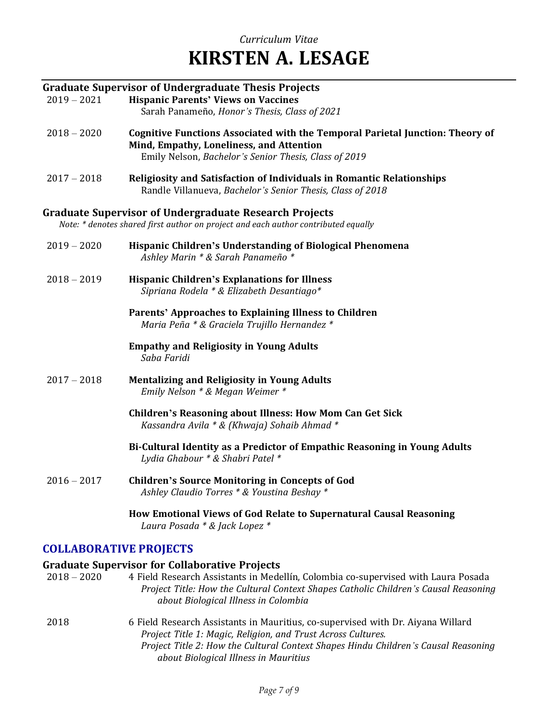## **Graduate Supervisor of Undergraduate Thesis Projects**

| $2019 - 2021$ | <b>Hispanic Parents' Views on Vaccines</b><br>Sarah Panameño, Honor's Thesis, Class of 2021                                                                                        |
|---------------|------------------------------------------------------------------------------------------------------------------------------------------------------------------------------------|
| $2018 - 2020$ | Cognitive Functions Associated with the Temporal Parietal Junction: Theory of<br>Mind, Empathy, Loneliness, and Attention<br>Emily Nelson, Bachelor's Senior Thesis, Class of 2019 |
| $2017 - 2018$ | <b>Religiosity and Satisfaction of Individuals in Romantic Relationships</b><br>Randle Villanueva, Bachelor's Senior Thesis, Class of 2018                                         |
|               | <b>Graduate Supervisor of Undergraduate Research Projects</b><br>Note: * denotes shared first author on project and each author contributed equally                                |
| $2019 - 2020$ | Hispanic Children's Understanding of Biological Phenomena<br>Ashley Marin * & Sarah Panameño *                                                                                     |
| $2018 - 2019$ | <b>Hispanic Children's Explanations for Illness</b><br>Sipriana Rodela * & Elizabeth Desantiago*                                                                                   |
|               | Parents' Approaches to Explaining Illness to Children<br>Maria Peña * & Graciela Trujillo Hernandez *                                                                              |
|               | <b>Empathy and Religiosity in Young Adults</b><br>Saba Faridi                                                                                                                      |
| $2017 - 2018$ | <b>Mentalizing and Religiosity in Young Adults</b><br>Emily Nelson * & Megan Weimer *                                                                                              |
|               | <b>Children's Reasoning about Illness: How Mom Can Get Sick</b><br>Kassandra Avila * & (Khwaja) Sohaib Ahmad *                                                                     |
|               | Bi-Cultural Identity as a Predictor of Empathic Reasoning in Young Adults<br>Lydia Ghabour * & Shabri Patel *                                                                      |
| $2016 - 2017$ | <b>Children's Source Monitoring in Concepts of God</b><br>Ashley Claudio Torres * & Youstina Beshay *                                                                              |
|               | How Emotional Views of God Relate to Supernatural Causal Reasoning<br>Laura Posada * & Jack Lopez *                                                                                |

## **COLLABORATIVE PROJECTS**

### **Graduate Supervisor for Collaborative Projects**

| $2018-2020$ | 4 Field Research Assistants in Medellín, Colombia co-supervised with Laura Posada   |
|-------------|-------------------------------------------------------------------------------------|
|             | Project Title: How the Cultural Context Shapes Catholic Children's Causal Reasoning |
|             | about Biological Illness in Colombia                                                |

2018 6 Field Research Assistants in Mauritius, co-supervised with Dr. Aiyana Willard *Project Title 1: Magic, Religion, and Trust Across Cultures. Project Title 2: How the Cultural Context Shapes Hindu Children's Causal Reasoning about Biological Illness in Mauritius*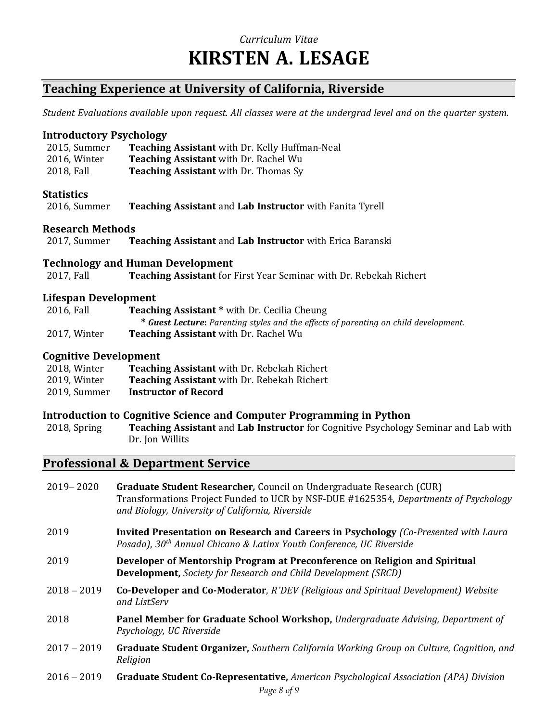## **Teaching Experience at University of California, Riverside**

Student Evaluations available upon request. All classes were at the undergrad level and on the quarter system.

### **Introductory Psychology**

| 2015, Summer | <b>Teaching Assistant</b> with Dr. Kelly Huffman-Neal |
|--------------|-------------------------------------------------------|
| 2016, Winter | <b>Teaching Assistant</b> with Dr. Rachel Wu          |
| 2018, Fall   | <b>Teaching Assistant</b> with Dr. Thomas Sy          |

### **Statistics**

Ι

2016, Summer **Teaching Assistant** and **Lab Instructor** with Fanita Tyrell

### **Research Methods**

2017, Summer **Teaching Assistant** and **Lab Instructor** with Erica Baranski

### **Technology and Human Development**

2017, Fall **Teaching Assistant** for First Year Seminar with Dr. Rebekah Richert

### **Lifespan Development**

| 2016, Fall   | <b>Teaching Assistant</b> * with Dr. Cecilia Cheung                                  |
|--------------|--------------------------------------------------------------------------------------|
|              | * Guest Lecture: Parenting styles and the effects of parenting on child development. |
| 2017, Winter | <b>Teaching Assistant</b> with Dr. Rachel Wu                                         |

### **Cognitive Development**

| 2018, Winter | <b>Teaching Assistant</b> with Dr. Rebekah Richert |
|--------------|----------------------------------------------------|
| 2019, Winter | <b>Teaching Assistant</b> with Dr. Rebekah Richert |
| 2019, Summer | <b>Instructor of Record</b>                        |

### **Introduction to Cognitive Science and Computer Programming in Python**

2018, Spring **Teaching Assistant** and **Lab Instructor** for Cognitive Psychology Seminar and Lab with Dr. Jon Willits

## **Professional & Department Service**

| $2019 - 2020$ | Graduate Student Researcher, Council on Undergraduate Research (CUR)<br>Transformations Project Funded to UCR by NSF-DUE #1625354, Departments of Psychology<br>and Biology, University of California, Riverside |
|---------------|------------------------------------------------------------------------------------------------------------------------------------------------------------------------------------------------------------------|
| 2019          | Invited Presentation on Research and Careers in Psychology (Co-Presented with Laura<br>Posada), 30 <sup>th</sup> Annual Chicano & Latinx Youth Conference, UC Riverside                                          |
| 2019          | Developer of Mentorship Program at Preconference on Religion and Spiritual<br><b>Development, Society for Research and Child Development (SRCD)</b>                                                              |
| $2018 - 2019$ | <b>Co-Developer and Co-Moderator, R'DEV (Religious and Spiritual Development) Website</b><br>and ListServ                                                                                                        |
| 2018          | Panel Member for Graduate School Workshop, Undergraduate Advising, Department of<br>Psychology, UC Riverside                                                                                                     |
| $2017 - 2019$ | <b>Graduate Student Organizer, Southern California Working Group on Culture, Cognition, and</b><br>Religion                                                                                                      |
| $2016 - 2019$ | Graduate Student Co-Representative, American Psychological Association (APA) Division                                                                                                                            |